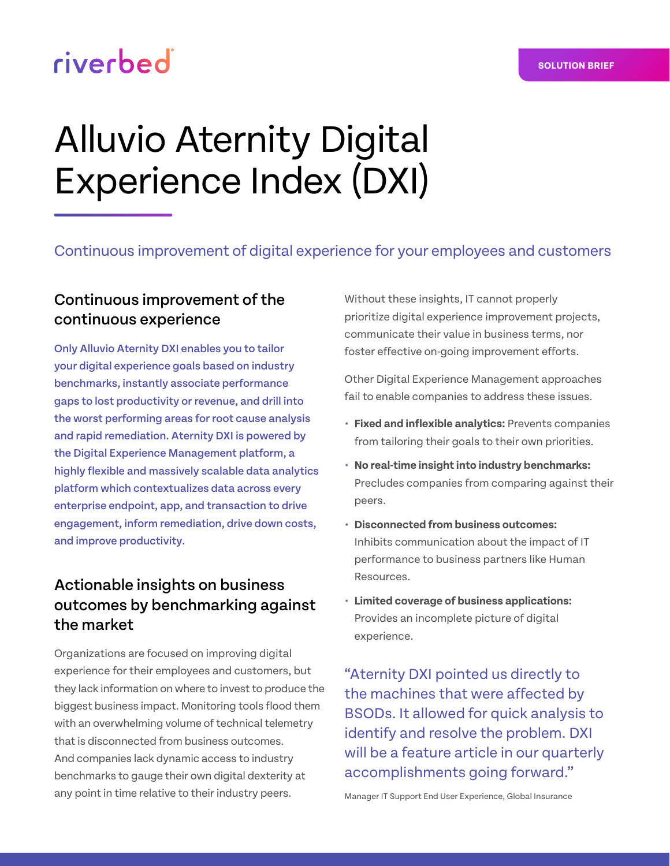## riverbed

# Alluvio Aternity Digital Experience Index (DXI)

Continuous improvement of digital experience for your employees and customers

#### Continuous improvement of the continuous experience

Only Alluvio Aternity DXI enables you to tailor your digital experience goals based on industry benchmarks, instantly associate performance gaps to lost productivity or revenue, and drill into the worst performing areas for root cause analysis and rapid remediation. Aternity DXI is powered by the Digital Experience Management platform, a highly flexible and massively scalable data analytics platform which contextualizes data across every enterprise endpoint, app, and transaction to drive engagement, inform remediation, drive down costs, and improve productivity.

### Actionable insights on business outcomes by benchmarking against the market

Organizations are focused on improving digital experience for their employees and customers, but they lack information on where to invest to produce the biggest business impact. Monitoring tools flood them with an overwhelming volume of technical telemetry that is disconnected from business outcomes. And companies lack dynamic access to industry benchmarks to gauge their own digital dexterity at any point in time relative to their industry peers.

Without these insights, IT cannot properly prioritize digital experience improvement projects, communicate their value in business terms, nor foster effective on-going improvement efforts.

Other Digital Experience Management approaches fail to enable companies to address these issues.

- **• Fixed and inflexible analytics:** Prevents companies from tailoring their goals to their own priorities.
- **• No real-time insight into industry benchmarks:**  Precludes companies from comparing against their peers.
- **• Disconnected from business outcomes:**  Inhibits communication about the impact of IT performance to business partners like Human Resources.
- **• Limited coverage of business applications:**  Provides an incomplete picture of digital experience.

"Aternity DXI pointed us directly to the machines that were affected by BSODs. It allowed for quick analysis to identify and resolve the problem. DXI will be a feature article in our quarterly accomplishments going forward."

Manager IT Support End User Experience, Global Insurance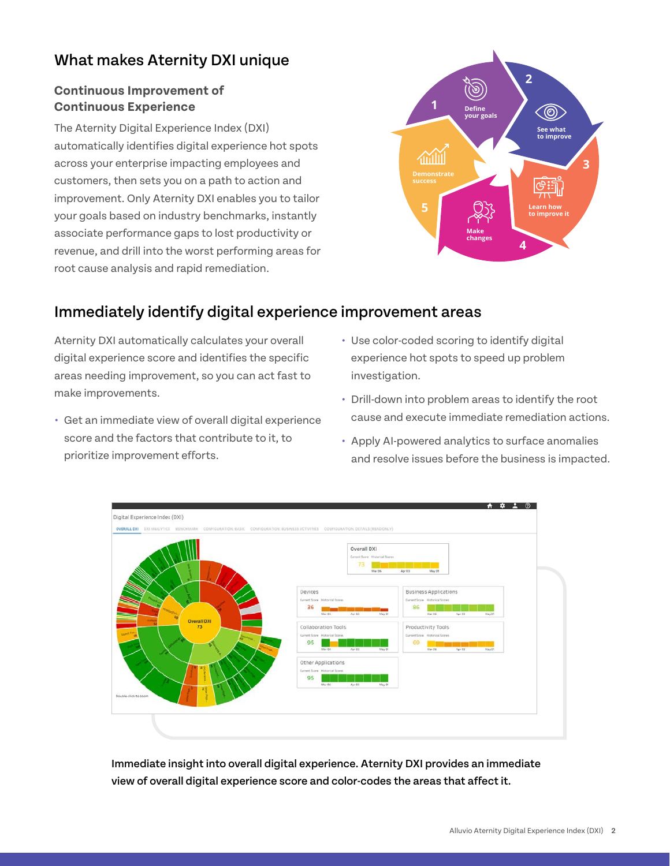#### What makes Aternity DXI unique

#### **Continuous Improvement of Continuous Experience**

The Aternity Digital Experience Index (DXI) automatically identifies digital experience hot spots across your enterprise impacting employees and customers, then sets you on a path to action and improvement. Only Aternity DXI enables you to tailor your goals based on industry benchmarks, instantly associate performance gaps to lost productivity or revenue, and drill into the worst performing areas for root cause analysis and rapid remediation.



#### Immediately identify digital experience improvement areas

Aternity DXI automatically calculates your overall digital experience score and identifies the specific areas needing improvement, so you can act fast to make improvements.

- **•** Get an immediate view of overall digital experience score and the factors that contribute to it, to prioritize improvement efforts.
- **•** Use color-coded scoring to identify digital experience hot spots to speed up problem investigation.
- **•** Drill-down into problem areas to identify the root cause and execute immediate remediation actions.
- **•** Apply AI-powered analytics to surface anomalies and resolve issues before the business is impacted.



Immediate insight into overall digital experience. Aternity DXI provides an immediate view of overall digital experience score and color-codes the areas that affect it.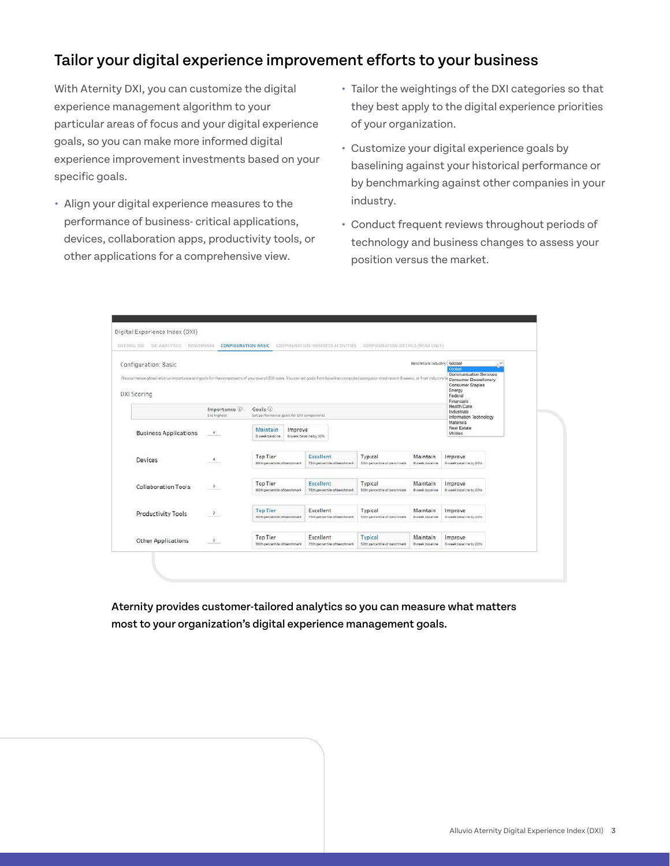#### Tailor your digital experience improvement efforts to your business

With Aternity DXI, you can customize the digital experience management algorithm to your particular areas of focus and your digital experience goals, so you can make more informed digital experience improvement investments based on your specific goals.

- **•** Align your digital experience measures to the performance of business- critical applications, devices, collaboration apps, productivity tools, or other applications for a comprehensive view.
- **•** Tailor the weightings of the DXI categories so that they best apply to the digital experience priorities of your organization.
- **•** Customize your digital experience goals by baselining against your historical performance or by benchmarking against other companies in your industry.
- **•** Conduct frequent reviews throughout periods of technology and business changes to assess your position versus the market.

| Configuration: Basic                                                                                                                                                                                        |                              |                                                              |                                                  |                                         | Benchmark Industry: Global         | Global<br>Communication Services                                              | $\omega$ |
|-------------------------------------------------------------------------------------------------------------------------------------------------------------------------------------------------------------|------------------------------|--------------------------------------------------------------|--------------------------------------------------|-----------------------------------------|------------------------------------|-------------------------------------------------------------------------------|----------|
| Choose the weighted relative importance and goals for the components of your overall DXI score. You can set goals from baselines computed using your most recent 8 weeks, or from industry b<br>DXI Scoring |                              |                                                              |                                                  |                                         |                                    | Consumer Discretionary<br>Consumer Staples<br>Energy<br>Federal<br>Financials |          |
|                                                                                                                                                                                                             | Importance ①<br>5 is highest | $G$ oals $\odot$<br>Set performance goals for DXI components | <b>Health Care</b><br>Industrials                | Information Technology                  |                                    |                                                                               |          |
| <b>Business Applications</b>                                                                                                                                                                                | $\ddot{a}$                   | Maintain<br>Improve<br>8 week baseline                       | B-week baseline by 20%                           |                                         |                                    | Materials<br>Real Estate<br>Utilities                                         |          |
| Devices                                                                                                                                                                                                     | 4                            | Top Tier<br>90th percentile of benchmark                     | Excellent<br>75th percentile of benchmark        | Typical<br>SOth percentile of benchmark | Maintain<br>8 yeek baseline        | Improve<br>8-week baseline by 20%                                             |          |
| <b>Collaboration Tools</b>                                                                                                                                                                                  | $\mathbf{3}$                 | <b>Top Tier</b><br>90th percentile of benchmark              | <b>Excellent</b><br>75th percentile of benchmark | Typical<br>50th percentile of benchmark | Maintain<br>8 week baseline        | Improve<br>8-week baseline by 2016                                            |          |
| <b>Productivity Tools</b>                                                                                                                                                                                   | $\overline{2}$               | <b>Top Tier</b><br>90th percentile of benchmark              | Excellent<br>75th percentile of banchmark        | Typical<br>SOth percentile of banchmark | Maintain<br><b>B</b> week baseline | Improve<br>B-week baseline by 20%.                                            |          |
| <b>Other Applications</b>                                                                                                                                                                                   | $\mathbb Z$                  | <b>Top Tier</b><br>90th percentile of benchmark              | Excellent<br>75th percentile of benchmark        | Typical<br>50th percentile of benchmark | Maintain<br>B week baseline        | Improve<br>8-week baseline by 2016                                            |          |

Aternity provides customer-tailored analytics so you can measure what matters most to your organization's digital experience management goals.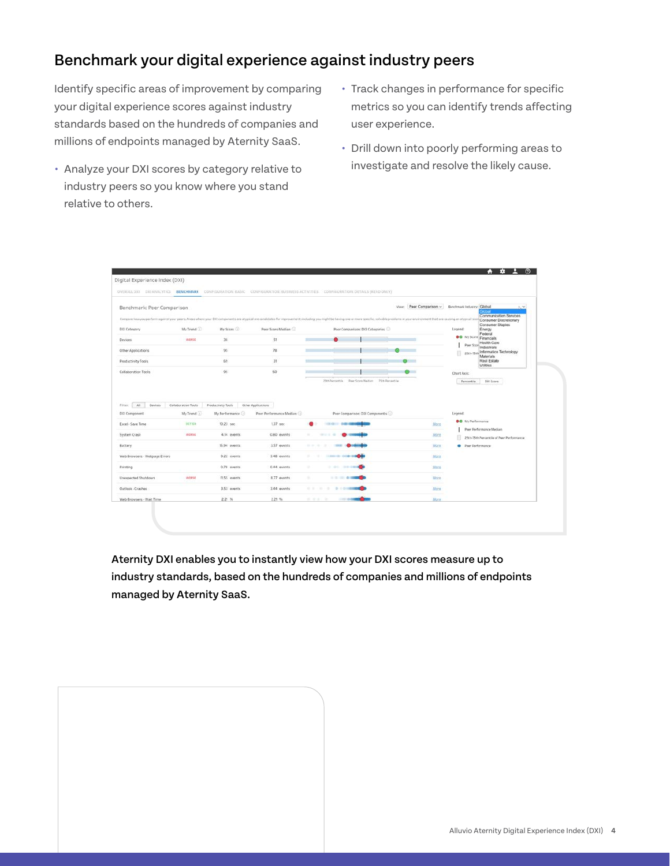#### Benchmark your digital experience against industry peers

Identify specific areas of improvement by comparing your digital experience scores against industry standards based on the hundreds of companies and millions of endpoints managed by Aternity SaaS.

- **•** Analyze your DXI scores by category relative to industry peers so you know where you stand relative to others.
- **•** Track changes in performance for specific metrics so you can identify trends affecting user experience.
- **•** Drill down into poorly performing areas to investigate and resolve the likely cause.



Aternity DXI enables you to instantly view how your DXI scores measure up to industry standards, based on the hundreds of companies and millions of endpoints managed by Aternity SaaS.